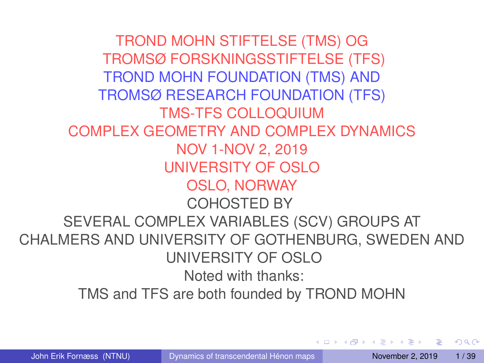TROND MOHN STIFTELSE (TMS) OG TROMSØ FORSKNINGSSTIFTELSE (TFS) TROND MOHN FOUNDATION (TMS) AND TROMSØ RESEARCH FOUNDATION (TFS) TMS-TFS COLLOQUIUM COMPLEX GEOMETRY AND COMPLEX DYNAMICS NOV 1-NOV 2, 2019 UNIVERSITY OF OSLO OSLO, NORWAY COHOSTED BY SEVERAL COMPLEX VARIABLES (SCV) GROUPS AT CHALMERS AND UNIVERSITY OF GOTHENBURG, SWEDEN AND UNIVERSITY OF OSLO Noted with thanks: TMS and TFS are both founded by TROND MOHN

 $\equiv$ 

<span id="page-0-0"></span> $\Omega$ 

 $\mathbf{A} \oplus \mathbf{A} \rightarrow \mathbf{A} \oplus \mathbf{A}$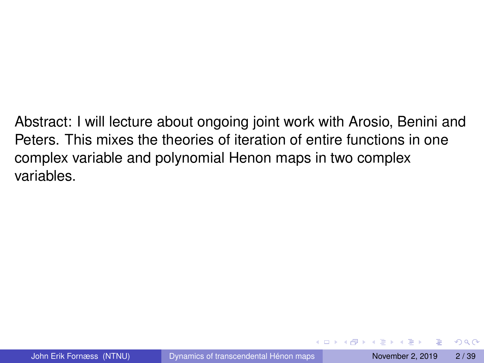Abstract: I will lecture about ongoing joint work with Arosio, Benini and Peters. This mixes the theories of iteration of entire functions in one complex variable and polynomial Henon maps in two complex variables.

 $\Omega$ 

 $\mathcal{A} \oplus \mathcal{A} \times \mathcal{A} \oplus \mathcal{A}$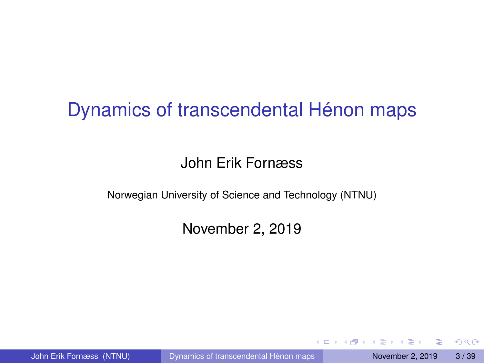# Dynamics of transcendental Hénon maps

## John Erik Fornæss

Norwegian University of Science and Technology (NTNU)

November 2, 2019

John Erik Fornæss (NTNU) [Dynamics of transcendental Hénon maps](#page-0-0) November 2, 2019 3/39

 $\Omega$ 

イロト イ押 トイラト イラト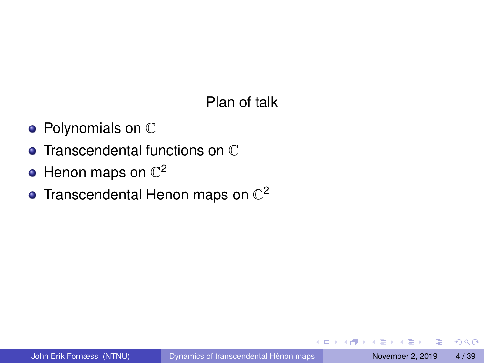## Plan of talk

- $\bullet$  Polynomials on  $\mathbb C$
- **Transcendental functions on C**
- Henon maps on  $\mathbb{C}^2$
- Transcendental Henon maps on  $\mathbb{C}^2$

4 0 8 1

 $\leftarrow$   $\Box$ 

E

 $QQQ$ 

 $\mathbf{A} \equiv \mathbf{A} \times \mathbf{A} \equiv \mathbf{A}$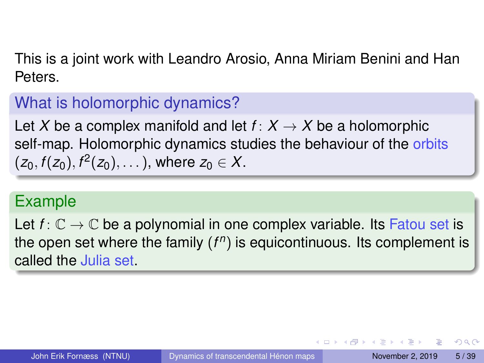This is a joint work with Leandro Arosio, Anna Miriam Benini and Han Peters.

# What is holomorphic dynamics?

Let X be a complex manifold and let  $f: X \rightarrow X$  be a holomorphic self-map. Holomorphic dynamics studies the behaviour of the orbits  $(z_0, f(z_0), f^2(z_0), \dots)$ , where  $z_0 \in X$ .

# Example

Let  $f: \mathbb{C} \to \mathbb{C}$  be a polynomial in one complex variable. Its Fatou set is the open set where the family (*f n* ) is equicontinuous. Its complement is called the Julia set.

 $\Omega$ 

 $(0.123 \times 10^{-14} \text{ m}) \times 10^{-14} \text{ m} \times 10^{-14} \text{ m}$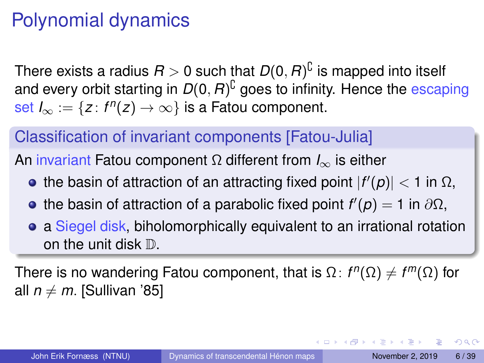# Polynomial dynamics

There exists a radius  $R>0$  such that  $D(0,R)^{\complement}$  is mapped into itself and every orbit starting in  $D(0, R)^{\complement}$  goes to infinity. Hence the escaping  $\frac{\mathsf{set}}{\mathsf{S}}$  *I*<sub>∞</sub> := {*z* :  $f^n(z) \to \infty$ } is a Fatou component.

# Classification of invariant components [Fatou-Julia]

An invariant Fatou component Ω different from *I*<sup>∞</sup> is either

- the basin of attraction of an attracting fixed point  $|f'(p)| < 1$  in Ω,
- the basin of attraction of a parabolic fixed point  $f'(p) = 1$  in  $\partial\Omega$ ,
- a Siegel disk, biholomorphically equivalent to an irrational rotation on the unit disk  $\mathbb{D}$ .

There is no wandering Fatou component, that is  $Ω: f<sup>n</sup>(Ω) ≠ f<sup>m</sup>(Ω)$  for all  $n \neq m$ . [Sullivan '85]

 $\Omega$ 

 $(0.123 \times 10^{-14} \text{ m}) \times 10^{-14} \text{ m} \times 10^{-14} \text{ m}$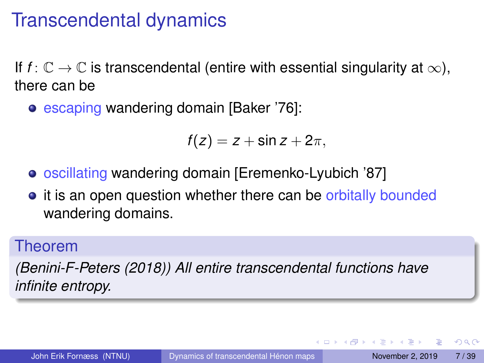# Transcendental dynamics

If  $f: \mathbb{C} \to \mathbb{C}$  is transcendental (entire with essential singularity at  $\infty$ ), there can be

• escaping wandering domain [Baker '76]:

$$
f(z)=z+\sin z+2\pi,
$$

- oscillating wandering domain [Eremenko-Lyubich '87]
- it is an open question whether there can be orbitally bounded wandering domains.

### Theorem

*(Benini-F-Peters (2018)) All entire transcendental functions have infinite entropy.*

 $\Omega$ 

イロト イ押 トイラト イラト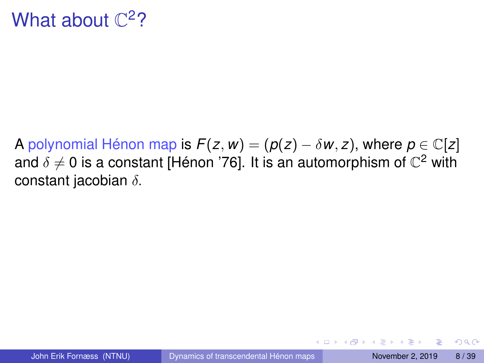# What about  $\mathbb{C}^2$ ?

A polynomial Hénon map is  $F(z, w) = (p(z) - \delta w, z)$ , where  $p \in \mathbb{C}[z]$ and  $\delta\neq 0$  is a constant [Hénon '76]. It is an automorphism of  $\mathbb{C}^2$  with constant jacobian  $\delta$ .

**E** 

 $\Omega$ 

イロト イ押ト イヨト イヨト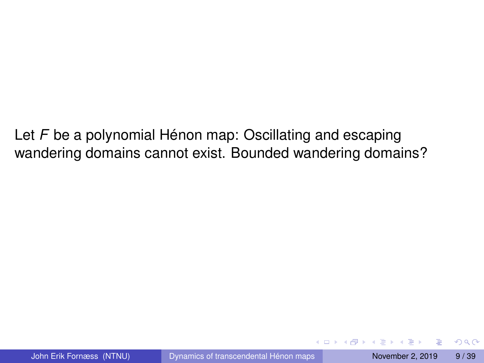Let *F* be a polynomial Hénon map: Oscillating and escaping wandering domains cannot exist. Bounded wandering domains?

4 0 8 1  $\overline{AB}$   $\Omega$ 

 $\mathbf{A} \equiv \mathbf{A} \times \mathbf{A} \equiv \mathbf{A}$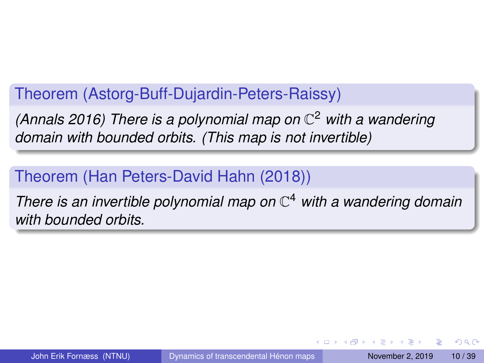# Theorem (Astorg-Buff-Dujardin-Peters-Raissy)

*(Annals 2016) There is a polynomial map on* C <sup>2</sup> *with a wandering domain with bounded orbits. (This map is not invertible)*

# Theorem (Han Peters-David Hahn (2018))

*There is an invertible polynomial map on* C <sup>4</sup> *with a wandering domain with bounded orbits.*

 $\Omega$ 

イロト イ押ト イヨト イヨト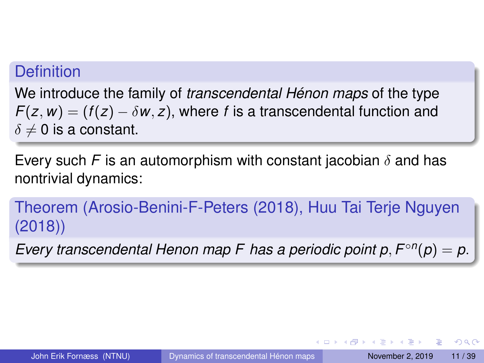### **Definition**

We introduce the family of *transcendental Hénon maps* of the type  $F(z, w) = (f(z) - \delta w, z)$ , where *f* is a transcendental function and  $\delta \neq 0$  is a constant.

Every such *F* is an automorphism with constant jacobian  $\delta$  and has nontrivial dynamics:

Theorem (Arosio-Benini-F-Peters (2018), Huu Tai Terje Nguyen (2018))

*Every transcendental Henon map F has a periodic point*  $p, F^{\circ n}(p) = p$ *.* 

 $\Omega$ 

 $(0.123 \times 10^{-14} \text{ m}) \times 10^{-14} \text{ m} \times 10^{-14} \text{ m}$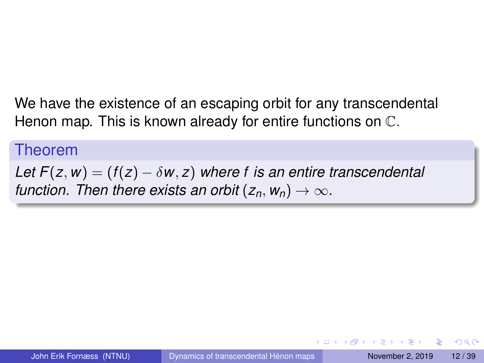We have the existence of an escaping orbit for any transcendental Henon map. This is known already for entire functions on C.

#### Theorem

*Let*  $F(z, w) = (f(z) - \delta w, z)$  *where f is an entire transcendental function. Then there exists an orbit*  $(z_n, w_n) \to \infty$ .

 $\Omega$ 

**A BAR BAY**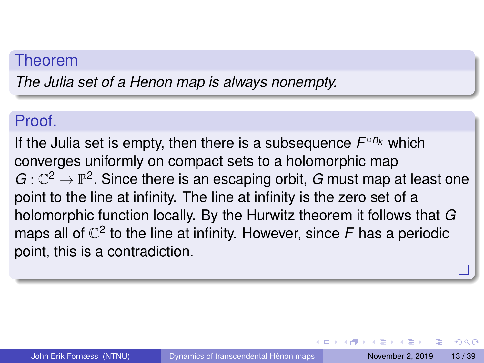#### Theorem

*The Julia set of a Henon map is always nonempty.*

### Proof.

If the Julia set is empty, then there is a subsequence *F* ◦*n<sup>k</sup>* which converges uniformly on compact sets to a holomorphic map  $G:\mathbb{C}^2\to\mathbb{P}^2.$  Since there is an escaping orbit,  $G$  must map at least one point to the line at infinity. The line at infinity is the zero set of a holomorphic function locally. By the Hurwitz theorem it follows that *G* maps all of  $\mathbb{C}^2$  to the line at infinity. However, since  $F$  has a periodic point, this is a contradiction.

 $\Omega$ 

イロト イ押ト イヨト イヨトー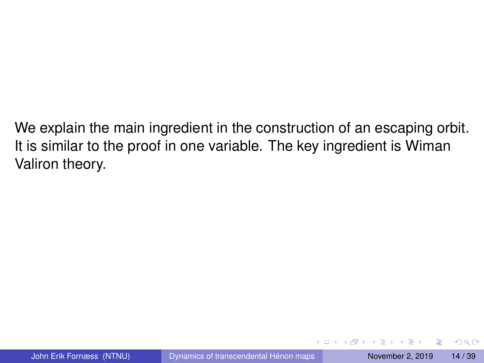We explain the main ingredient in the construction of an escaping orbit. It is similar to the proof in one variable. The key ingredient is Wiman Valiron theory.

в

 $QQ$ 

イロト イ押ト イヨト イヨトー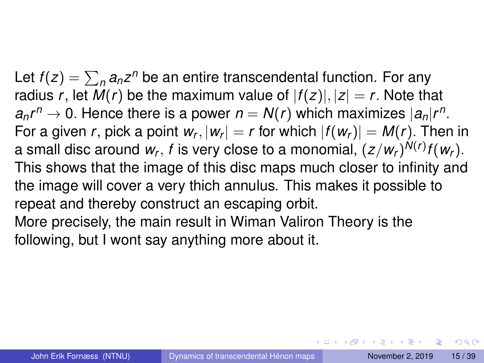Let  $f(z) = \sum_{n} a_n z^n$  be an entire transcendental function. For any radius *r*, let  $M(r)$  be the maximum value of  $|f(z)|, |z| = r$ . Note that  $a_nr^n \rightarrow 0$ . Hence there is a power  $n = N(r)$  which maximizes  $|a_n|r^n$ . For a given  $r$ , pick a point  $w_r, |w_r| = r$  for which  $|f(w_r)| = M(r)$ . Then in a small disc around  $w_r$ ,  $f$  is very close to a monomial,  $(z/w_r)^{N(r)}f(w_r).$ This shows that the image of this disc maps much closer to infinity and the image will cover a very thich annulus. This makes it possible to repeat and thereby construct an escaping orbit. More precisely, the main result in Wiman Valiron Theory is the

following, but I wont say anything more about it.

 $\Omega$ 

 $(1,1)$   $(1,1)$   $(1,1)$   $(1,1)$   $(1,1)$   $(1,1)$   $(1,1)$   $(1,1)$   $(1,1)$   $(1,1)$   $(1,1)$   $(1,1)$   $(1,1)$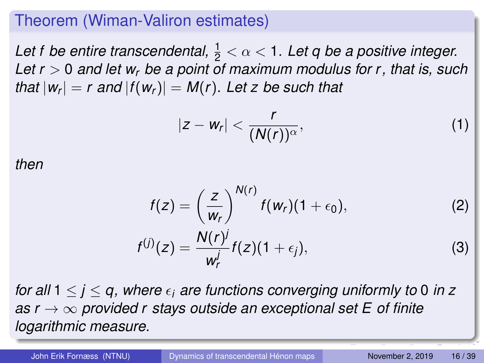### Theorem (Wiman-Valiron estimates)

Let f be entire transcendental,  $\frac{1}{2} < \alpha < 1$ . Let q be a positive integer. *Let r* > 0 *and let w<sup>r</sup> be a point of maximum modulus for r, that is, such that*  $|w_r| = r$  and  $|f(w_r)| = M(r)$ . Let z be such that

$$
|z-w_r|<\frac{r}{(N(r))^{\alpha}},
$$
 (1)

*then*

$$
f(z) = \left(\frac{z}{w_r}\right)^{N(r)} f(w_r)(1 + \epsilon_0), \qquad (2)
$$
  

$$
f^{(j)}(z) = \frac{N(r)^j}{w_r^j} f(z)(1 + \epsilon_j), \qquad (3)
$$

*for all*  $1 \leq i \leq q$ , where  $\epsilon_i$  are functions converging uniformly to 0 in z *as r* → ∞ *provided r stays outside an exceptional set E of finite logarithmic measure.*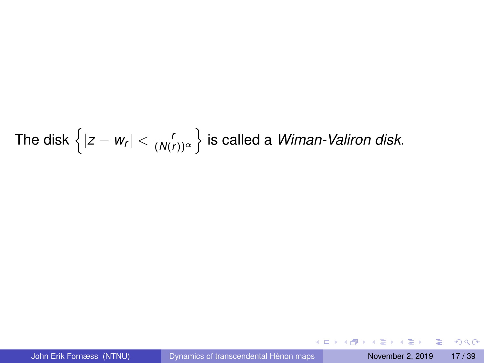# The disk  $\left\{ |z - w_r| < \frac{r}{(N(r))^\alpha} \right\}$  is called a *Wiman-Valiron disk*.

 $299$ 

メロメメ 御き メミメメ 急ず 一番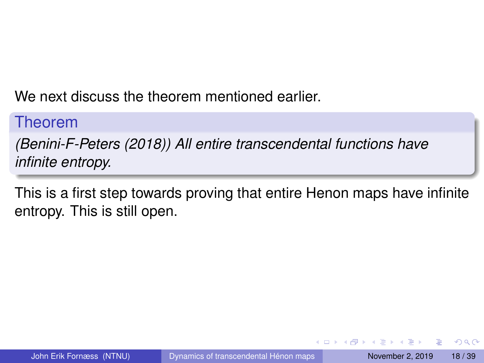We next discuss the theorem mentioned earlier.

### Theorem

*(Benini-F-Peters (2018)) All entire transcendental functions have infinite entropy.*

This is a first step towards proving that entire Henon maps have infinite entropy. This is still open.

4 0 8 1

 $\Omega$ 

医单位 医单位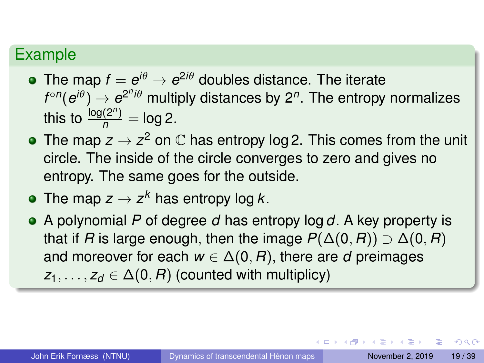# Example

- The map  $f = e^{i\theta} \rightarrow e^{2i\theta}$  doubles distance. The iterate  $f^{\circ n}(\bm{e}^{i\theta})\rightarrow \bm{e}^{2^n i\theta}$  multiply distances by 2<sup>n</sup>. The entropy normalizes this to  $\frac{\log(2^n)}{n} = \log 2$ .
- The map  $z\to z^2$  on  $\mathbb C$  has entropy log 2. This comes from the unit circle. The inside of the circle converges to zero and gives no entropy. The same goes for the outside.
- The map  $z \to z^k$  has entropy log  $k$ .
- A polynomial *P* of degree *d* has entropy log *d*. A key property is that if *R* is large enough, then the image  $P(\Delta(0, R)) \supset \Delta(0, R)$ and moreover for each  $w \in \Delta(0, R)$ , there are *d* preimages  $z_1, \ldots, z_d \in \Delta(0, R)$  (counted with multiplicy)

 $\Omega$ 

 $(0.125 \times 10^{-14} \text{ m}) \times 10^{-14} \text{ m}$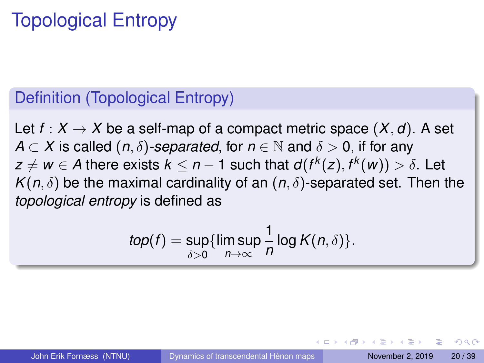# Topological Entropy

# Definition (Topological Entropy)

Let  $f: X \to X$  be a self-map of a compact metric space  $(X, d)$ . A set *A*  $\subset$  *X* is called  $(n, \delta)$ -separated, for  $n \in \mathbb{N}$  and  $\delta > 0$ , if for any  $z \neq w \in A$  there exists  $k \leq n-1$  such that  $d(f^k(z), f^k(w)) > \delta.$  Let  $K(n,\delta)$  be the maximal cardinality of an  $(n,\delta)$ -separated set. Then the *topological entropy* is defined as

$$
top(f) = \sup_{\delta > 0} \{ \limsup_{n \to \infty} \frac{1}{n} \log K(n, \delta) \}.
$$

 $\Omega$ 

イロト イ押ト イヨト イヨト ニヨ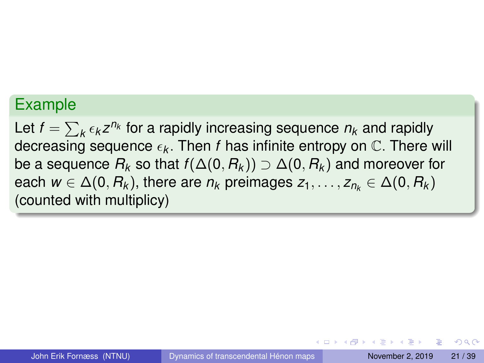### Example

Let  $f = \sum_k \epsilon_k z^{n_k}$  for a rapidly increasing sequence  $n_k$  and rapidly decreasing sequence  $\epsilon_k$ . Then *f* has infinite entropy on  $\mathbb{C}$ . There will be a sequence  $R_k$  so that  $f(\Delta(0, R_k)) \supset \Delta(0, R_k)$  and moreover for each  $w \in \Delta(0, R_k)$ , there are  $n_k$  preimages  $z_1, \ldots, z_{n_k} \in \Delta(0, R_k)$ (counted with multiplicy)

 $\Omega$ 

 $(1,1)$   $(1,1)$   $(1,1)$   $(1,1)$   $(1,1)$   $(1,1)$   $(1,1)$   $(1,1)$   $(1,1)$   $(1,1)$   $(1,1)$   $(1,1)$   $(1,1)$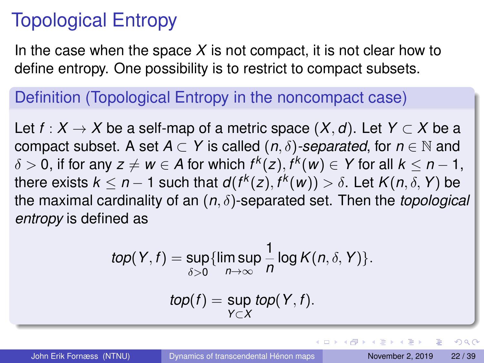# Topological Entropy

In the case when the space  $X$  is not compact, it is not clear how to define entropy. One possibility is to restrict to compact subsets.

# Definition (Topological Entropy in the noncompact case)

Let *f* :  $X \rightarrow X$  be a self-map of a metric space  $(X, d)$ . Let  $Y \subset X$  be a compact subset. A set  $A \subset Y$  is called  $(n, \delta)$ -separated, for  $n \in \mathbb{N}$  and  $\delta > 0,$  if for any  $z \neq w \in A$  for which  $f^k(z), f^k(w) \in Y$  for all  $k \leq n-1,$ there exists  $k \leq n-1$  such that  $d(f^k(z), f^k(w)) > \delta.$  Let  $K(n,\delta, Y)$  be the maximal cardinality of an (*n*, δ)-separated set. Then the *topological entropy* is defined as

$$
top(Y, f) = \sup_{\delta > 0} \{ \limsup_{n \to \infty} \frac{1}{n} \log K(n, \delta, Y) \}.
$$

$$
top(f) = \sup_{Y \subset X} top(Y, f).
$$

G.

 $\Omega$ 

4 0 8 4 6 8 4 9 8 4 9 8 1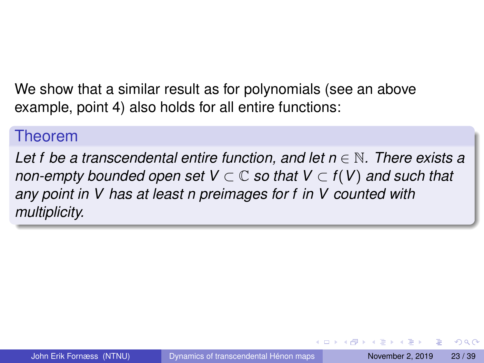We show that a similar result as for polynomials (see an above example, point 4) also holds for all entire functions:

#### Theorem

*Let f be a transcendental entire function, and let n* ∈ N*. There exists a non-empty bounded open set*  $V \subset \mathbb{C}$  *so that*  $V \subset f(V)$  *and such that any point in V has at least n preimages for f in V counted with multiplicity.*

 $\Omega$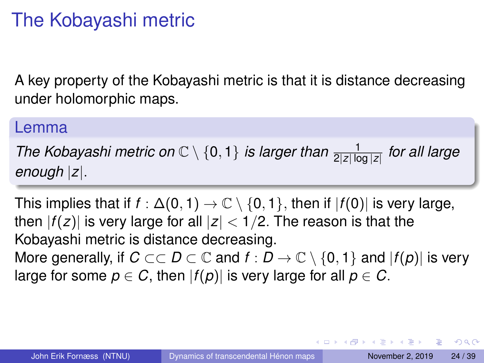# The Kobayashi metric

A key property of the Kobayashi metric is that it is distance decreasing under holomorphic maps.

#### Lemma

The Kobayashi metric on  $\mathbb{C} \setminus \{0,1\}$  is larger than  $\frac{1}{2|z|\log|z|}$  for all large *enough* |*z*|.

This implies that if  $f : \Delta(0, 1) \to \mathbb{C} \setminus \{0, 1\}$ , then if  $|f(0)|$  is very large, then  $|f(z)|$  is very large for all  $|z| < 1/2$ . The reason is that the Kobayashi metric is distance decreasing. More generally, if *C*  $\subset$   $\subset$  *D*  $\subset$   $\subset$  and *f* : *D*  $\to$   $\subset$  \ {0, 1} and  $|f(p)|$  is very large for some  $p \in C$ , then  $|f(p)|$  is very large for all  $p \in C$ .

 $\Omega$ 

イロト イ押 トイラト イラト・ラー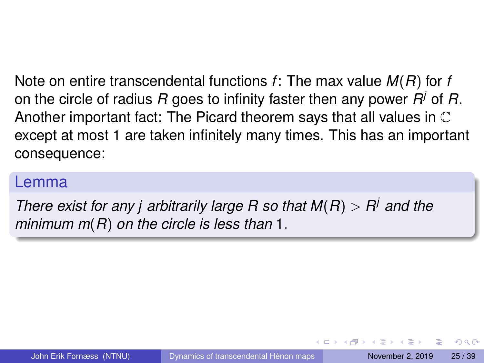Note on entire transcendental functions *f*: The max value *M*(*R*) for *f* on the circle of radius *R* goes to infinity faster then any power *R <sup>j</sup>* of *R*. Another important fact: The Picard theorem says that all values in  $\mathbb C$ except at most 1 are taken infinitely many times. This has an important consequence:

#### Lemma

*There exist for any j arbitrarily large R so that M*(*R*) > *R <sup>j</sup> and the minimum m*(*R*) *on the circle is less than* 1.

 $\Omega$ 

イロメ イ何 メラモメラ モメー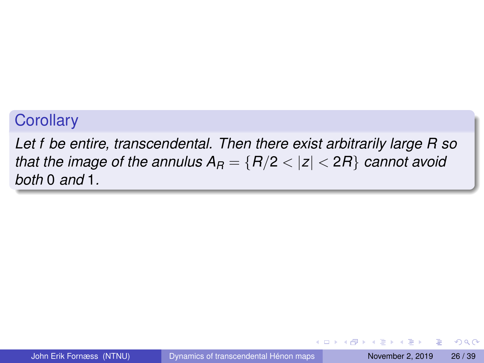### **Corollary**

*Let f be entire, transcendental. Then there exist arbitrarily large R so that the image of the annulus*  $A_R = \{R/2 < |z| < 2R\}$  *cannot avoid both* 0 *and* 1*.*

 $\equiv$ 

 $\Omega$ 

 $\mathbf{A} \cap \mathbf{B} \rightarrow \mathbf{A} \oplus \mathbf{B} \rightarrow \mathbf{A} \oplus \mathbf{B} \rightarrow \mathbf{A}$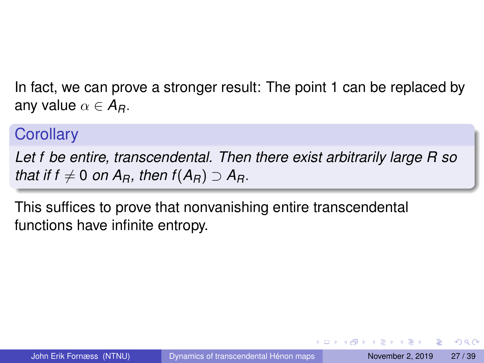In fact, we can prove a stronger result: The point 1 can be replaced by any value  $\alpha \in A_R$ .

## **Corollary**

*Let f be entire, transcendental. Then there exist arbitrarily large R so that if f*  $\neq$  0 *on A<sub>B</sub>*, *then f*( $A$ <sup>*R*</sup>) ⊃  $A$ <sup>*R*</sup>.

This suffices to prove that nonvanishing entire transcendental functions have infinite entropy.

 $\Omega$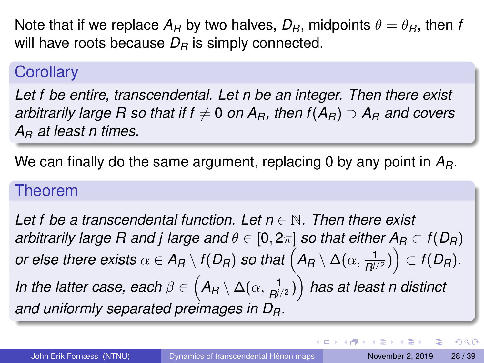Note that if we replace  $A_R$  by two halves,  $D_R$ , midpoints  $\theta = \theta_R$ , then *f* will have roots because  $D_R$  is simply connected.

## **Corollary**

*Let f be entire, transcendental. Let n be an integer. Then there exist arbitrarily large R so that if f*  $\neq$  *0 <i>on A<sub>B</sub>*, then  $f(A_B) \supseteq A_B$  *and covers A<sup>R</sup> at least n times.*

We can finally do the same argument, replacing 0 by any point in *AR*.

#### Theorem

*Let f be a transcendental function. Let n* ∈ N*. Then there exist arbitrarily large R and j large and*  $\theta \in [0, 2\pi]$  *so that either*  $A_R \subset f(D_R)$  $o$ r else there exists  $\alpha \in \mathcal{A}_\mathcal{A} \setminus f(D_\mathcal{A})$  so that  $\left(\mathcal{A}_\mathcal{A} \setminus \Delta(\alpha,\frac{1}{\mathcal{B}^{1/2}})\right) \subset f(D_\mathcal{A}).$ *In the latter case, each*  $\beta \in \left( \mathcal{A}_R \setminus \Delta(\alpha, \frac{1}{R^{j/2}}) \right)$  *has at least n distinct and uniformly separated preimages in DR.*

D.

 $\Omega$ 

イロト イ押 トイラ トイラトー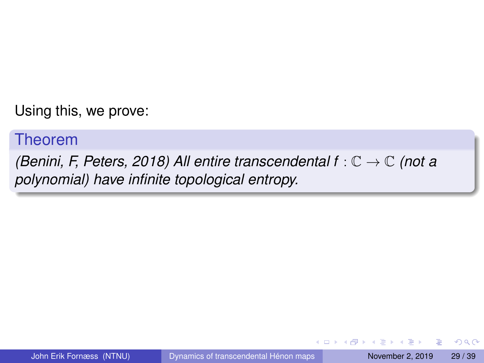Using this, we prove:

#### Theorem

*(Benini, F, Peters, 2018) All entire transcendental f* : C → C *(not a polynomial) have infinite topological entropy.*

 $\equiv$ 

 $\Omega$ 

イロト イ押ト イヨト イヨトー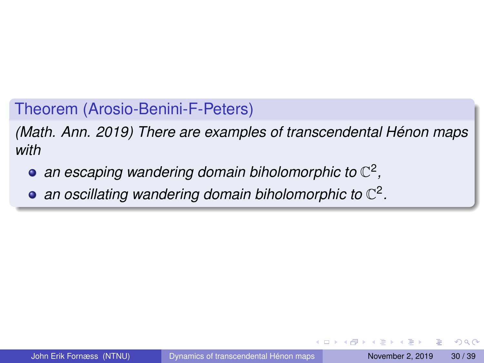Theorem (Arosio-Benini-F-Peters)

*(Math. Ann. 2019) There are examples of transcendental Hénon maps with*

- an escaping wandering domain biholomorphic to  $\mathbb{C}^2$ ,
- *an oscillating wandering domain biholomorphic to* C 2 *.*

в

 $\Omega$ 

**The South Book** 

4 ロ ト ィ *同* ト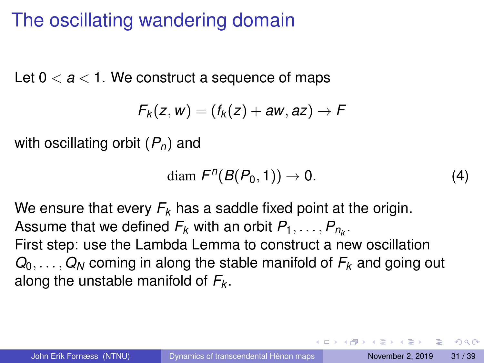# The oscillating wandering domain

Let  $0 < a < 1$ . We construct a sequence of maps

$$
F_k(z,w)=(f_k(z)+aw,az)\rightarrow F
$$

with oscillating orbit (*Pn*) and

$$
\text{diam } F^n(B(P_0, 1)) \to 0. \tag{4}
$$

We ensure that every *F<sup>k</sup>* has a saddle fixed point at the origin. Assume that we defined  $F_k$  with an orbit  $P_1,\ldots,P_{n_k}.$ First step: use the Lambda Lemma to construct a new oscillation  $Q_0, \ldots, Q_N$  coming in along the stable manifold of  $F_k$  and going out along the unstable manifold of *F<sup>k</sup>* .

 $\Omega$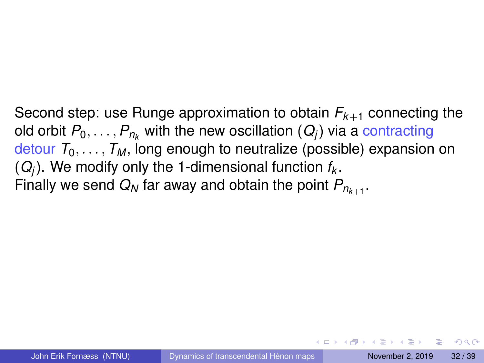Second step: use Runge approximation to obtain  $F_{k+1}$  connecting the old orbit  $P_0, \ldots, P_{n_k}$  with the new oscillation  $(Q_i)$  via a contracting detour  $T_0, \ldots, T_M$ , long enough to neutralize (possible) expansion on (*Qj*). We modify only the 1-dimensional function *f<sup>k</sup>* . Finally we send  $Q_N$  far away and obtain the point  $P_{n_{k+1}}$ .

 $\Omega$ 

イロト イ押 トイヨ トイヨ トーヨ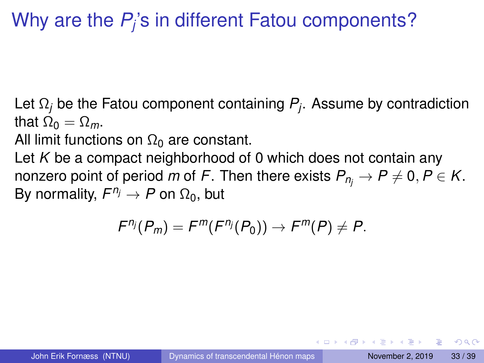# Why are the  $P_j$ 's in different Fatou components?

Let Ω*<sup>j</sup>* be the Fatou component containing *P<sup>j</sup>* . Assume by contradiction that  $\Omega_0 = \Omega_m$ .

All limit functions on  $\Omega_0$  are constant.

Let *K* be a compact neighborhood of 0 which does not contain any nonzero point of period *m* of *F*. Then there exists  $P_n \rightarrow P \neq 0, P \in K$ . By normality,  $F^{\eta_j} \to P$  on  $\Omega_0$ , but

$$
F^{n_j}(P_m)=F^m(F^{n_j}(P_0))\rightarrow F^m(P)\neq P.
$$

 $\Omega$ 

イロト イ押ト イヨト イヨト ニヨ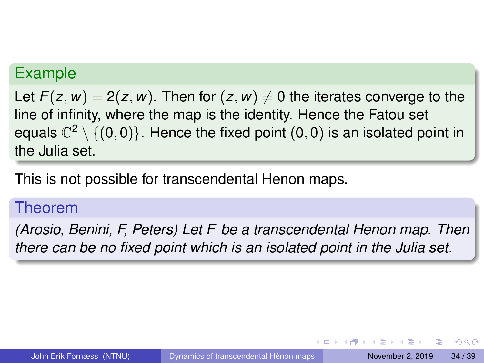### Example

Let  $F(z, w) = 2(z, w)$ . Then for  $(z, w) \neq 0$  the iterates converge to the line of infinity, where the map is the identity. Hence the Fatou set equals  $\mathbb{C}^2\setminus\{(0,0)\}.$  Hence the fixed point  $(0,0)$  is an isolated point in the Julia set.

This is not possible for transcendental Henon maps.

#### Theorem

*(Arosio, Benini, F, Peters) Let F be a transcendental Henon map. Then there can be no fixed point which is an isolated point in the Julia set.*

 $\Omega$ 

 $(0.123 \times 10^{-14} \text{ m}) \times 10^{-14} \text{ m} \times 10^{-14} \text{ m}$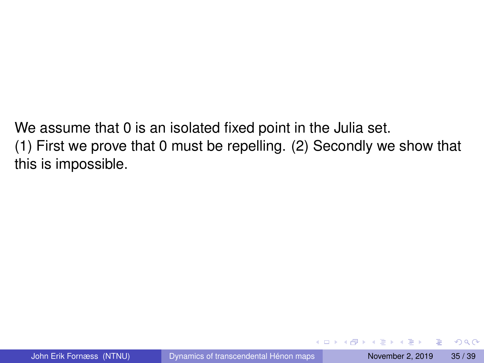We assume that 0 is an isolated fixed point in the Julia set. (1) First we prove that 0 must be repelling. (2) Secondly we show that this is impossible.

в

 $\Omega$ 

イロト イ押ト イヨト イヨトー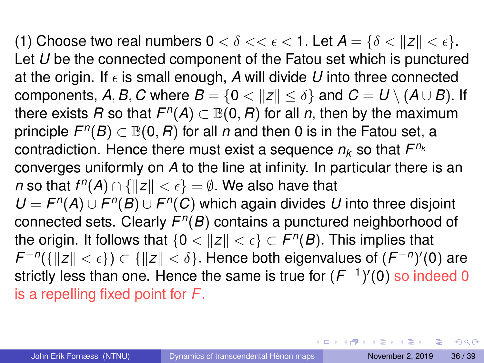(1) Choose two real numbers  $0 < \delta << \epsilon < 1$ . Let  $A = \{\delta < ||z|| < \epsilon\}$ . Let *U* be the connected component of the Fatou set which is punctured at the origin. If  $\epsilon$  is small enough, A will divide U into three connected components, A, B, C where  $B = \{0 < ||z|| < \delta\}$  and  $C = U \setminus (A \cup B)$ . If there exists  $R$  so that  $F^n(A) \subset \mathbb{B}(0,R)$  for all *n*, then by the maximum principle  $F^n(B) \subset \mathbb{B}(0,R)$  for all  $n$  and then 0 is in the Fatou set, a contradiction. Hence there must exist a sequence  $n_k$  so that  $F^{n_k}$ converges uniformly on *A* to the line at infinity. In particular there is an *n* so that  $f^n(A) \cap \{|z| < \epsilon\} = ∅$ . We also have that  $U = F^{n}(A) \cup F^{n}(B) \cup F^{n}(C)$  which again divides *U* into three disjoint connected sets. Clearly *F n* (*B*) contains a punctured neighborhood of the origin. It follows that  $\{0 < \|z\| < \epsilon\} \subset F^n(B)$ . This implies that  $\mathcal{F}^{-n}(\{\|z\|<\epsilon\})\subset \{\|z\|<\delta\}.$  Hence both eigenvalues of  $(\mathcal{F}^{-n})'(0)$  are strictly less than one. Hence the same is true for  $(F^{-1})^{\prime}(0)$  so indeed 0 is a repelling fixed point for *F*.

 $\Omega$ 

 $(0.125 \times 10^{-14} \text{ m}) \times 10^{-14} \text{ m}$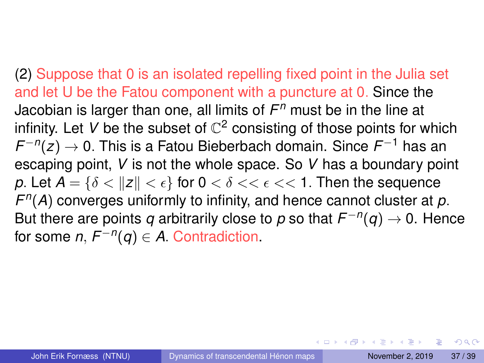(2) Suppose that 0 is an isolated repelling fixed point in the Julia set and let U be the Fatou component with a puncture at 0. Since the Jacobian is larger than one, all limits of *F <sup>n</sup>* must be in the line at infinity. Let V be the subset of  $\mathbb{C}^2$  consisting of those points for which *F* −*n* (*z*) → 0. This is a Fatou Bieberbach domain. Since *F* <sup>−</sup><sup>1</sup> has an escaping point, *V* is not the whole space. So *V* has a boundary point *p*. Let  $A = \{\delta < ||z|| < \epsilon\}$  for  $0 < \delta < \epsilon < \epsilon < 1$ . Then the sequence *F n* (*A*) converges uniformly to infinity, and hence cannot cluster at *p*. But there are points  $q$  arbitrarily close to  $p$  so that  $F^{-n}(q) \to 0$ . Hence for some  $n, F^{-n}(q) \in A$ . Contradiction.

 $\Omega$ 

 $(0.125 \times 10^{-14} \text{ m}) \times 10^{-14} \text{ m}$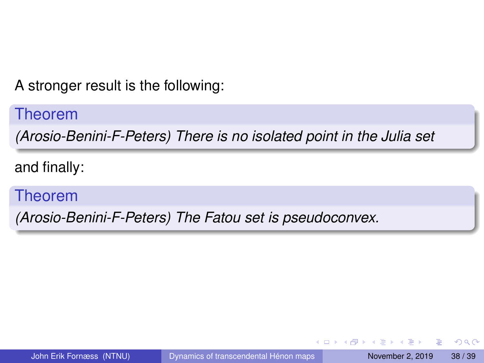A stronger result is the following:

Theorem

*(Arosio-Benini-F-Peters) There is no isolated point in the Julia set*

and finally:

Theorem

*(Arosio-Benini-F-Peters) The Fatou set is pseudoconvex.*

в

 $\Omega$ 

イロト イ押ト イヨト イヨトー